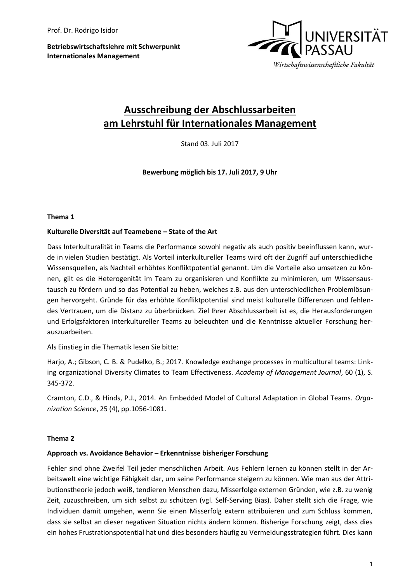**Betriebswirtschaftslehre mit Schwerpunkt Internationales Management**



# **Ausschreibung der Abschlussarbeiten am Lehrstuhl für Internationales Management**

Stand 03. Juli 2017

**Bewerbung möglich bis 17. Juli 2017, 9 Uhr**

#### **Thema 1**

#### **Kulturelle Diversität auf Teamebene – State of the Art**

Dass Interkulturalität in Teams die Performance sowohl negativ als auch positiv beeinflussen kann, wurde in vielen Studien bestätigt. Als Vorteil interkultureller Teams wird oft der Zugriff auf unterschiedliche Wissensquellen, als Nachteil erhöhtes Konfliktpotential genannt. Um die Vorteile also umsetzen zu können, gilt es die Heterogenität im Team zu organisieren und Konflikte zu minimieren, um Wissensaustausch zu fördern und so das Potential zu heben, welches z.B. aus den unterschiedlichen Problemlösungen hervorgeht. Gründe für das erhöhte Konfliktpotential sind meist kulturelle Differenzen und fehlendes Vertrauen, um die Distanz zu überbrücken. Ziel Ihrer Abschlussarbeit ist es, die Herausforderungen und Erfolgsfaktoren interkultureller Teams zu beleuchten und die Kenntnisse aktueller Forschung herauszuarbeiten.

Als Einstieg in die Thematik lesen Sie bitte:

Harjo, A.; Gibson, C. B. & Pudelko, B.; 2017. Knowledge exchange processes in multicultural teams: Linking organizational Diversity Climates to Team Effectiveness. *Academy of Management Journal*, 60 (1), S. 345-372.

Cramton, C.D., & Hinds, P.J., 2014. An Embedded Model of Cultural Adaptation in Global Teams. *Organization Science*, 25 (4), pp.1056-1081.

#### **Thema 2**

# **Approach vs. Avoidance Behavior – Erkenntnisse bisheriger Forschung**

Fehler sind ohne Zweifel Teil jeder menschlichen Arbeit. Aus Fehlern lernen zu können stellt in der Arbeitswelt eine wichtige Fähigkeit dar, um seine Performance steigern zu können. Wie man aus der Attributionstheorie jedoch weiß, tendieren Menschen dazu, Misserfolge externen Gründen, wie z.B. zu wenig Zeit, zuzuschreiben, um sich selbst zu schützen (vgl. Self-Serving Bias). Daher stellt sich die Frage, wie Individuen damit umgehen, wenn Sie einen Misserfolg extern attribuieren und zum Schluss kommen, dass sie selbst an dieser negativen Situation nichts ändern können. Bisherige Forschung zeigt, dass dies ein hohes Frustrationspotential hat und dies besonders häufig zu Vermeidungsstrategien führt. Dies kann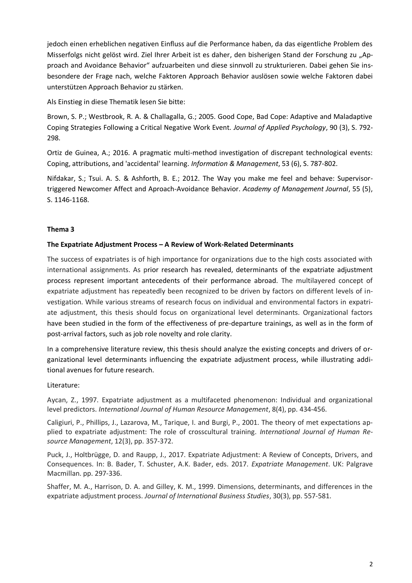jedoch einen erheblichen negativen Einfluss auf die Performance haben, da das eigentliche Problem des Misserfolgs nicht gelöst wird. Ziel Ihrer Arbeit ist es daher, den bisherigen Stand der Forschung zu "Approach and Avoidance Behavior" aufzuarbeiten und diese sinnvoll zu strukturieren. Dabei gehen Sie insbesondere der Frage nach, welche Faktoren Approach Behavior auslösen sowie welche Faktoren dabei unterstützen Approach Behavior zu stärken.

Als Einstieg in diese Thematik lesen Sie bitte:

Brown, S. P.; Westbrook, R. A. & Challagalla, G.; 2005. Good Cope, Bad Cope: Adaptive and Maladaptive Coping Strategies Following a Critical Negative Work Event. *Journal of Applied Psychology*, 90 (3), S. 792- 298.

Ortiz de Guinea, A.; 2016. A pragmatic multi-method investigation of discrepant technological events: Coping, attributions, and 'accidental' learning. *Information & Management*, 53 (6), S. 787-802.

Nifdakar, S.; Tsui. A. S. & Ashforth, B. E.; 2012. The Way you make me feel and behave: Supervisortriggered Newcomer Affect and Aproach-Avoidance Behavior. *Academy of Management Journal*, 55 (5), S. 1146-1168.

# **Thema 3**

# **The Expatriate Adjustment Process – A Review of Work-Related Determinants**

The success of expatriates is of high importance for organizations due to the high costs associated with international assignments. As prior research has revealed, determinants of the expatriate adjustment process represent important antecedents of their performance abroad. The multilayered concept of expatriate adjustment has repeatedly been recognized to be driven by factors on different levels of investigation. While various streams of research focus on individual and environmental factors in expatriate adjustment, this thesis should focus on organizational level determinants. Organizational factors have been studied in the form of the effectiveness of pre-departure trainings, as well as in the form of post-arrival factors, such as job role novelty and role clarity.

In a comprehensive literature review, this thesis should analyze the existing concepts and drivers of organizational level determinants influencing the expatriate adjustment process, while illustrating additional avenues for future research.

# Literature:

Aycan, Z., 1997. Expatriate adjustment as a multifaceted phenomenon: Individual and organizational level predictors. *International Journal of Human Resource Management*, 8(4), pp. 434-456.

Caligiuri, P., Phillips, J., Lazarova, M., Tarique, I. and Burgi, P., 2001. The theory of met expectations applied to expatriate adjustment: The role of crosscultural training. *International Journal of Human Resource Management*, 12(3), pp. 357-372.

Puck, J., Holtbrügge, D. and Raupp, J., 2017. Expatriate Adjustment: A Review of Concepts, Drivers, and Consequences. In: B. Bader, T. Schuster, A.K. Bader, eds. 2017. *Expatriate Management*. UK: Palgrave Macmillan. pp. 297-336.

Shaffer, M. A., Harrison, D. A. and Gilley, K. M., 1999. Dimensions, determinants, and differences in the expatriate adjustment process. *Journal of International Business Studies*, 30(3), pp. 557-581.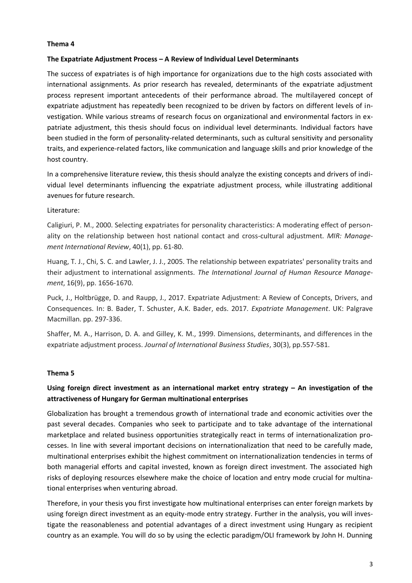#### **Thema 4**

#### **The Expatriate Adjustment Process – A Review of Individual Level Determinants**

The success of expatriates is of high importance for organizations due to the high costs associated with international assignments. As prior research has revealed, determinants of the expatriate adjustment process represent important antecedents of their performance abroad. The multilayered concept of expatriate adjustment has repeatedly been recognized to be driven by factors on different levels of investigation. While various streams of research focus on organizational and environmental factors in expatriate adjustment, this thesis should focus on individual level determinants. Individual factors have been studied in the form of personality-related determinants, such as cultural sensitivity and personality traits, and experience-related factors, like communication and language skills and prior knowledge of the host country.

In a comprehensive literature review, this thesis should analyze the existing concepts and drivers of individual level determinants influencing the expatriate adjustment process, while illustrating additional avenues for future research.

#### Literature:

Caligiuri, P. M., 2000. Selecting expatriates for personality characteristics: A moderating effect of personality on the relationship between host national contact and cross-cultural adjustment. *MIR: Management International Review*, 40(1), pp. 61-80.

Huang, T. J., Chi, S. C. and Lawler, J. J., 2005. The relationship between expatriates' personality traits and their adjustment to international assignments. *The International Journal of Human Resource Management*, 16(9), pp. 1656-1670.

Puck, J., Holtbrügge, D. and Raupp, J., 2017. Expatriate Adjustment: A Review of Concepts, Drivers, and Consequences. In: B. Bader, T. Schuster, A.K. Bader, eds. 2017. *Expatriate Management*. UK: Palgrave Macmillan. pp. 297-336.

Shaffer, M. A., Harrison, D. A. and Gilley, K. M., 1999. Dimensions, determinants, and differences in the expatriate adjustment process. *Journal of International Business Studies*, 30(3), pp.557-581.

# **Thema 5**

# **Using foreign direct investment as an international market entry strategy – An investigation of the attractiveness of Hungary for German multinational enterprises**

Globalization has brought a tremendous growth of international trade and economic activities over the past several decades. Companies who seek to participate and to take advantage of the international marketplace and related business opportunities strategically react in terms of internationalization processes. In line with several important decisions on internationalization that need to be carefully made, multinational enterprises exhibit the highest commitment on internationalization tendencies in terms of both managerial efforts and capital invested, known as foreign direct investment. The associated high risks of deploying resources elsewhere make the choice of location and entry mode crucial for multinational enterprises when venturing abroad.

Therefore, in your thesis you first investigate how multinational enterprises can enter foreign markets by using foreign direct investment as an equity-mode entry strategy. Further in the analysis, you will investigate the reasonableness and potential advantages of a direct investment using Hungary as recipient country as an example. You will do so by using the eclectic paradigm/OLI framework by John H. Dunning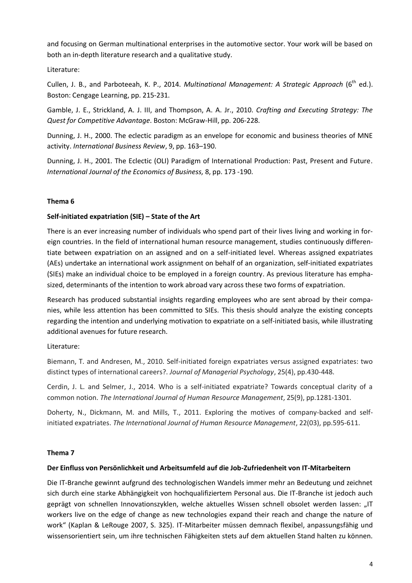and focusing on German multinational enterprises in the automotive sector. Your work will be based on both an in-depth literature research and a qualitative study.

Literature:

Cullen, J. B., and Parboteeah, K. P., 2014. *Multinational Management: A Strategic Approach* (6<sup>th</sup> ed.). Boston: Cengage Learning, pp. 215-231.

Gamble, J. E., Strickland, A. J. III, and Thompson, A. A. Jr., 2010. *Crafting and Executing Strategy: The Quest for Competitive Advantage*. Boston: McGraw-Hill, pp. 206-228.

Dunning, J. H., 2000. The eclectic paradigm as an envelope for economic and business theories of MNE activity. *International Business Review*, 9, pp. 163–190.

Dunning, J. H., 2001. The Eclectic (OLI) Paradigm of International Production: Past, Present and Future. *International Journal of the Economics of Business,* 8, pp. 173 -190.

# **Thema 6**

# **Self-initiated expatriation (SIE) – State of the Art**

There is an ever increasing number of individuals who spend part of their lives living and working in foreign countries. In the field of international human resource management, studies continuously differentiate between expatriation on an assigned and on a self-initiated level. Whereas assigned expatriates (AEs) undertake an international work assignment on behalf of an organization, self-initiated expatriates (SIEs) make an individual choice to be employed in a foreign country. As previous literature has emphasized, determinants of the intention to work abroad vary across these two forms of expatriation.

Research has produced substantial insights regarding employees who are sent abroad by their companies, while less attention has been committed to SIEs. This thesis should analyze the existing concepts regarding the intention and underlying motivation to expatriate on a self-initiated basis, while illustrating additional avenues for future research.

Literature:

Biemann, T. and Andresen, M., 2010. Self-initiated foreign expatriates versus assigned expatriates: two distinct types of international careers?. *Journal of Managerial Psychology*, 25(4), pp.430-448.

Cerdin, J. L. and Selmer, J., 2014. Who is a self-initiated expatriate? Towards conceptual clarity of a common notion. *The International Journal of Human Resource Management*, 25(9), pp.1281-1301.

Doherty, N., Dickmann, M. and Mills, T., 2011. Exploring the motives of company-backed and selfinitiated expatriates. *The International Journal of Human Resource Management*, 22(03), pp.595-611.

# **Thema 7**

#### **Der Einfluss von Persönlichkeit und Arbeitsumfeld auf die Job-Zufriedenheit von IT-Mitarbeitern**

Die IT-Branche gewinnt aufgrund des technologischen Wandels immer mehr an Bedeutung und zeichnet sich durch eine starke Abhängigkeit von hochqualifiziertem Personal aus. Die IT-Branche ist jedoch auch geprägt von schnellen Innovationszyklen, welche aktuelles Wissen schnell obsolet werden lassen: "IT workers live on the edge of change as new technologies expand their reach and change the nature of work" (Kaplan & LeRouge 2007, S. 325). IT-Mitarbeiter müssen demnach flexibel, anpassungsfähig und wissensorientiert sein, um ihre technischen Fähigkeiten stets auf dem aktuellen Stand halten zu können.